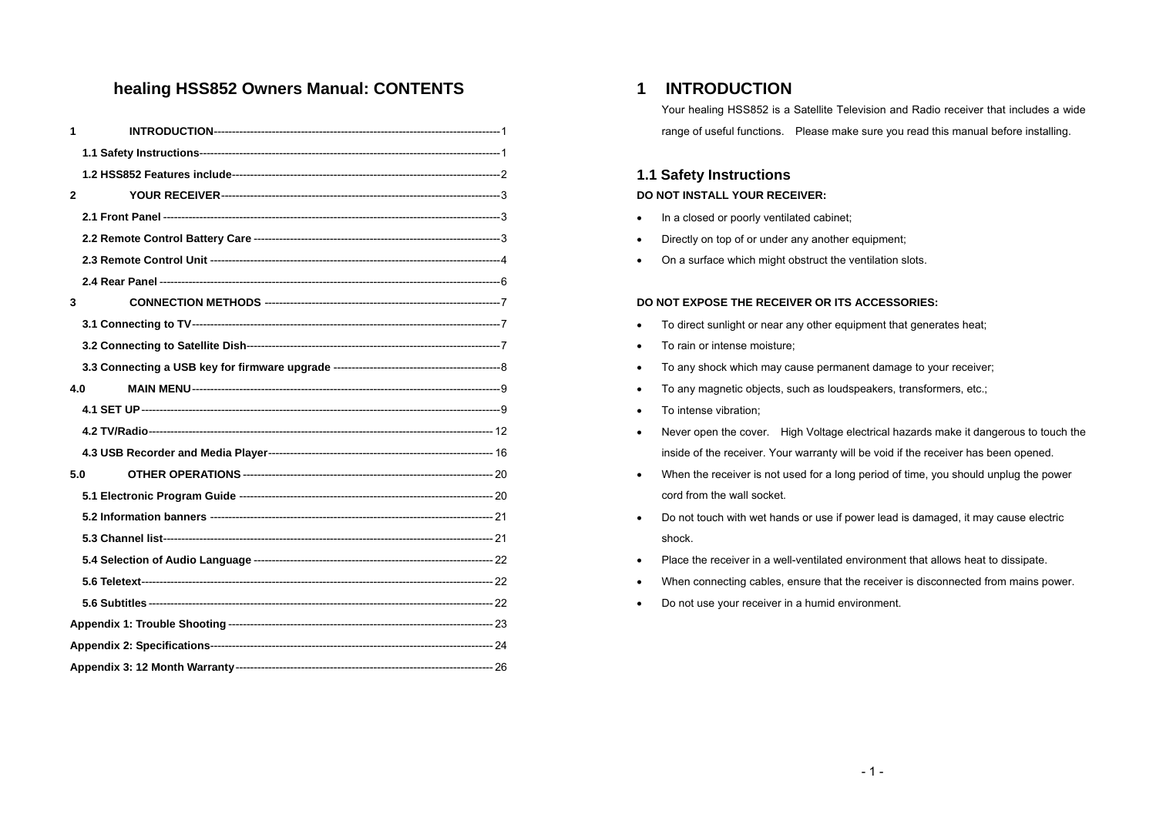## **healing HSS852 Owners Manual: CONTENTS**

| 1            |     |  |
|--------------|-----|--|
|              |     |  |
|              |     |  |
| $\mathbf{2}$ |     |  |
|              |     |  |
|              |     |  |
|              |     |  |
|              |     |  |
| 3            |     |  |
|              |     |  |
|              |     |  |
|              |     |  |
|              | 4.0 |  |
|              |     |  |
|              |     |  |
|              |     |  |
|              | 5.0 |  |
|              |     |  |
|              |     |  |
|              |     |  |
|              |     |  |
|              |     |  |
|              |     |  |
|              |     |  |
|              |     |  |
|              |     |  |

## **1 INTRODUCTION**

Your healing HSS852 is a Satellite Television and Radio receiver that includes a wide range of useful functions. Please make sure you read this manual before installing.

## **1.1 Safety Instructions DO NOT INSTALL YOUR RECEIVER:**

- In a closed or poorly ventilated cabinet;
- Directly on top of or under any another equipment;
- On a surface which might obstruct the ventilation slots.

#### **DO NOT EXPOSE THE RECEIVER OR ITS ACCESSORIES:**

- To direct sunlight or near any other equipment that generates heat;
- To rain or intense moisture;
- To any shock which may cause permanent damage to your receiver;
- To any magnetic objects, such as loudspeakers, transformers, etc.;
- To intense vibration;
- Never open the cover. High Voltage electrical hazards make it dangerous to touch the inside of the receiver. Your warranty will be void if the receiver has been opened.
- When the receiver is not used for a long period of time, you should unplug the power cord from the wall socket.
- Do not touch with wet hands or use if power lead is damaged, it may cause electric shock.
- Place the receiver in a well-ventilated environment that allows heat to dissipate.
- When connecting cables, ensure that the receiver is disconnected from mains power.
- Do not use your receiver in a humid environment.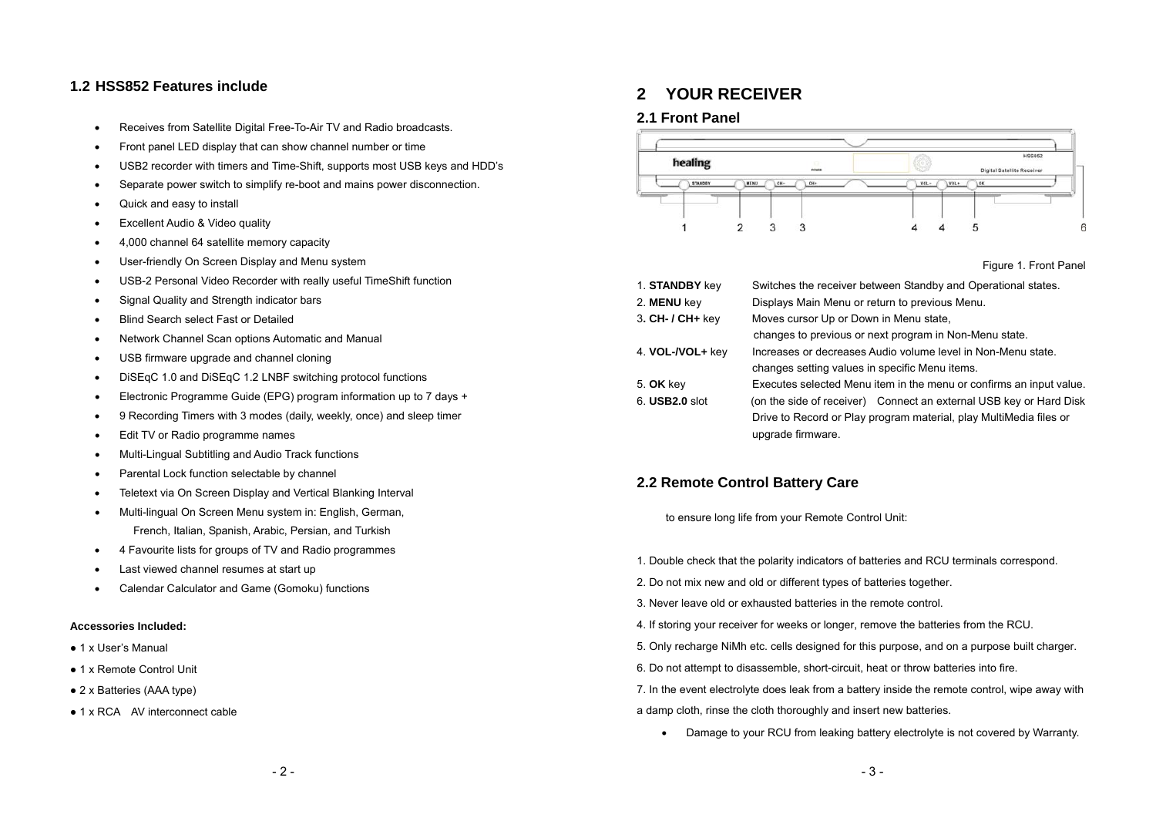### **1.2 HSS852 Features include**

- Receives from Satellite Digital Free-To-Air TV and Radio broadcasts.
- Front panel LED display that can show channel number or time
- USB2 recorder with timers and Time-Shift, supports most USB keys and HDD's
- Separate power switch to simplify re-boot and mains power disconnection.
- Quick and easy to install
- **Excellent Audio & Video quality**
- 4,000 channel 64 satellite memory capacity
- User-friendly On Screen Display and Menu system
- USB-2 Personal Video Recorder with really useful TimeShift function
- Signal Quality and Strength indicator bars
- Blind Search select Fast or Detailed
- Network Channel Scan options Automatic and Manual
- USB firmware upgrade and channel cloning
- DiSEqC 1.0 and DiSEqC 1.2 LNBF switching protocol functions
- Electronic Programme Guide (EPG) program information up to 7 days +
- 9 Recording Timers with 3 modes (daily, weekly, once) and sleep timer
- Edit TV or Radio programme names
- Multi-Lingual Subtitling and Audio Track functions
- Parental Lock function selectable by channel
- Teletext via On Screen Display and Vertical Blanking Interval
- Multi-lingual On Screen Menu system in: English, German, French, Italian, Spanish, Arabic, Persian, and Turkish
- 4 Favourite lists for groups of TV and Radio programmes
- Last viewed channel resumes at start up
- Calendar Calculator and Game (Gomoku) functions

#### **Accessories Included:**

- 1 x User's Manual
- 1 x Remote Control Unit
- 2 x Batteries (AAA type)
- 1 x RCA AV interconnect cable

## **2 YOUR RECEIVER**

#### **2.1 Front Panel**



Figure 1. Front Panel

| 1. STANDBY key        | Switches the receiver between Standby and Operational states.       |  |  |
|-----------------------|---------------------------------------------------------------------|--|--|
| 2. MENU key           | Displays Main Menu or return to previous Menu.                      |  |  |
| $3.$ CH- / CH+ key    | Moves cursor Up or Down in Menu state.                              |  |  |
|                       | changes to previous or next program in Non-Menu state.              |  |  |
| 4. VOL-/VOL+ key      | Increases or decreases Audio volume level in Non-Menu state.        |  |  |
|                       | changes setting values in specific Menu items.                      |  |  |
| 5. OK key             | Executes selected Menu item in the menu or confirms an input value. |  |  |
| 6. <b>USB2.0</b> slot | (on the side of receiver) Connect an external USB key or Hard Disk  |  |  |
|                       | Drive to Record or Play program material, play MultiMedia files or  |  |  |
|                       | upgrade firmware.                                                   |  |  |

## **2.2 Remote Control Battery Care**

to ensure long life from your Remote Control Unit:

- 1. Double check that the polarity indicators of batteries and RCU terminals correspond.
- 2. Do not mix new and old or different types of batteries together.
- 3. Never leave old or exhausted batteries in the remote control.
- 4. If storing your receiver for weeks or longer, remove the batteries from the RCU.
- 5. Only recharge NiMh etc. cells designed for this purpose, and on a purpose built charger.
- 6. Do not attempt to disassemble, short-circuit, heat or throw batteries into fire.
- 7. In the event electrolyte does leak from a battery inside the remote control, wipe away with a damp cloth, rinse the cloth thoroughly and insert new batteries.
	- Damage to your RCU from leaking battery electrolyte is not covered by Warranty.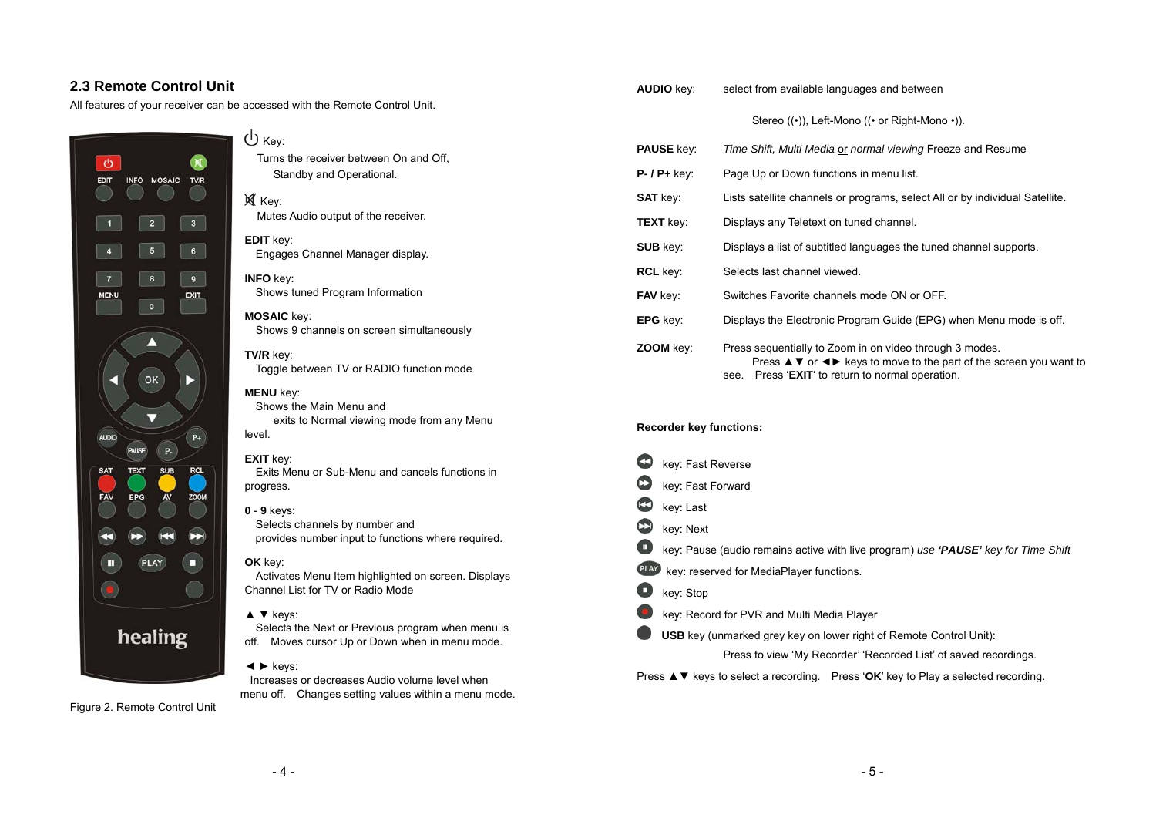## **2.3 Remote Control Unit**

All features of your receiver can be accessed with the Remote Control Unit.





Key: Mutes Audio output of the receiver.

## **EDIT** key:

Engages Channel Manager display.

**INFO** key: Shows tuned Program Information

#### **MOSAIC** key:

Shows 9 channels on screen simultaneously

#### **TV/R** key: Toggle between TV or RADIO function mode

**MENU** key:

Shows the Main Menu and exits to Normal viewing mode from any Menu level.

#### **EXIT** key:

Exits Menu or Sub-Menu and cancels functions in progress.

#### **0** - **9** keys:

Selects channels by number and provides number input to functions where required.

#### **OK** key:

Activates Menu Item highlighted on screen. Displays Channel List for TV or Radio Mode

#### ▲ ▼ keys:

Selects the Next or Previous program when menu is off. Moves cursor Up or Down when in menu mode.

#### ◄ ► keys:

Increases or decreases Audio volume level when menu off. Changes setting values within a menu mode.

Figure 2. Remote Control Unit



#### Stereo ((•)), Left-Mono ((• or Right-Mono •)).

| <b>PAUSE key:</b>      | Time Shift, Multi Media or normal viewing Freeze and Resume                                                                                                                                                                                            |
|------------------------|--------------------------------------------------------------------------------------------------------------------------------------------------------------------------------------------------------------------------------------------------------|
| $P - / P + \text{keV}$ | Page Up or Down functions in menu list.                                                                                                                                                                                                                |
| <b>SAT key:</b>        | Lists satellite channels or programs, select All or by individual Satellite.                                                                                                                                                                           |
| <b>TEXT</b> key:       | Displays any Teletext on tuned channel.                                                                                                                                                                                                                |
| <b>SUB</b> key:        | Displays a list of subtitled languages the tuned channel supports.                                                                                                                                                                                     |
| <b>RCL key:</b>        | Selects last channel viewed.                                                                                                                                                                                                                           |
| <b>FAV</b> key:        | Switches Favorite channels mode ON or OFF.                                                                                                                                                                                                             |
| EPG key:               | Displays the Electronic Program Guide (EPG) when Menu mode is off.                                                                                                                                                                                     |
| ZOOM key:              | Press sequentially to Zoom in on video through 3 modes.<br>Press $\blacktriangle \blacktriangledown$ or $\blacktriangle \blacktriangleright$ keys to move to the part of the screen you want to<br>Press 'EXIT' to return to normal operation.<br>see. |

#### **Recorder key functions:**

|   | key: Fast Reverse                                                                                                  |
|---|--------------------------------------------------------------------------------------------------------------------|
| C | key: Fast Forward                                                                                                  |
| C | key: Last                                                                                                          |
| Œ | key: Next                                                                                                          |
| o | key: Pause (audio remains active with live program) use 'PAUSE' key for Time Shift                                 |
|   | <b>PLAY</b> key: reserved for MediaPlayer functions.                                                               |
| o | key: Stop                                                                                                          |
|   | key: Record for PVR and Multi Media Player                                                                         |
|   | <b>USB</b> key (unmarked grey key on lower right of Remote Control Unit):                                          |
|   | Press to view 'My Recorder' 'Recorded List' of saved recordings.                                                   |
|   | Press $\blacktriangle \blacktriangledown$ keys to select a recording. Press 'OK' key to Play a selected recording. |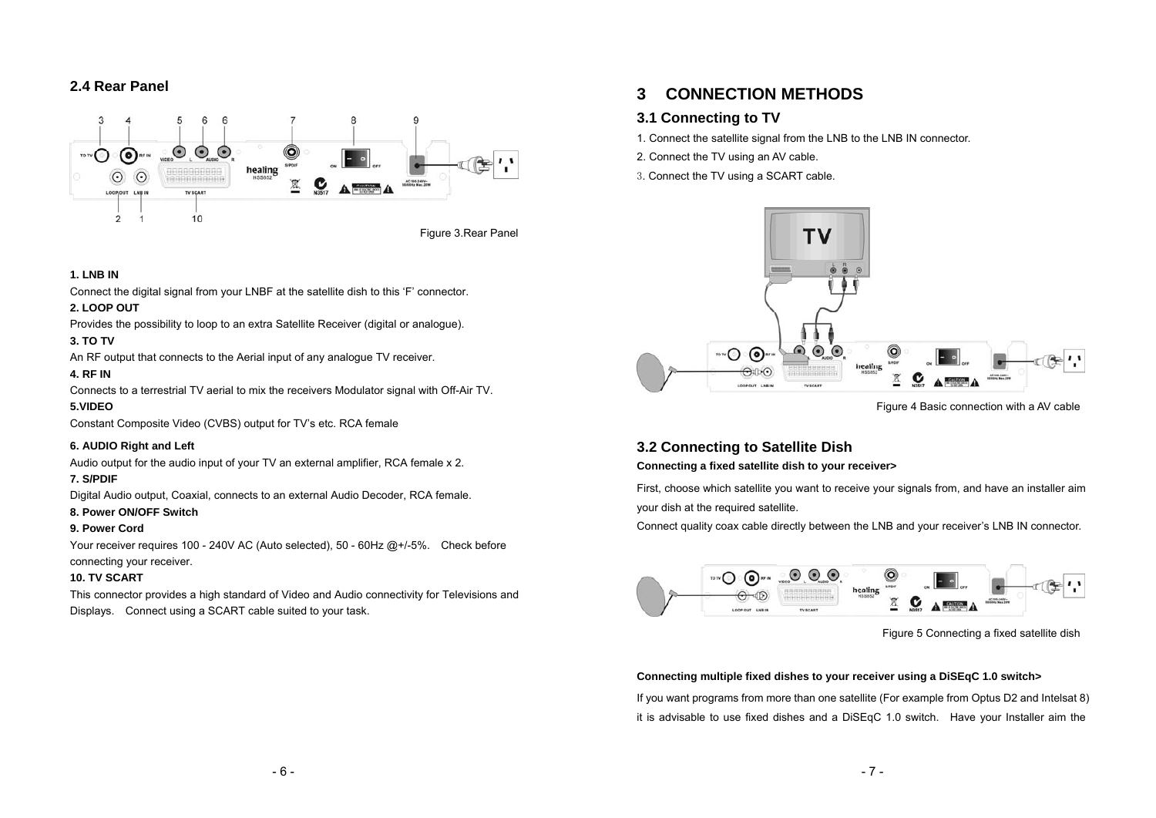## **2.4 Rear Panel**



#### **1. LNB IN**

Connect the digital signal from your LNBF at the satellite dish to this 'F' connector.

#### **2. LOOP OUT**

Provides the possibility to loop to an extra Satellite Receiver (digital or analogue).

#### **3. TO TV**

An RF output that connects to the Aerial input of any analogue TV receiver.

#### **4. RF IN**

Connects to a terrestrial TV aerial to mix the receivers Modulator signal with Off-Air TV.

#### **5.VIDEO**

Constant Composite Video (CVBS) output for TV's etc. RCA female

#### **6. AUDIO Right and Left**

Audio output for the audio input of your TV an external amplifier, RCA female x 2.

#### **7. S/PDIF**

Digital Audio output, Coaxial, connects to an external Audio Decoder, RCA female.

#### **8. Power ON/OFF Switch**

#### **9. Power Cord**

Your receiver requires 100 - 240V AC (Auto selected), 50 - 60Hz @+/-5%. Check before connecting your receiver.

#### **10. TV SCART**

This connector provides a high standard of Video and Audio connectivity for Televisions and Displays. Connect using a SCART cable suited to your task.

## **3 CONNECTION METHODS**

## **3.1 Connecting to TV**

- 1. Connect the satellite signal from the LNB to the LNB IN connector.
- 2. Connect the TV using an AV cable.
- 3. Connect the TV using a SCART cable.



Figure 4 Basic connection with a AV cable

## **3.2 Connecting to Satellite Dish**

**Connecting a fixed satellite dish to your receiver>** 

First, choose which satellite you want to receive your signals from, and have an installer aim your dish at the required satellite.

Connect quality coax cable directly between the LNB and your receiver's LNB IN connector.



Figure 5 Connecting a fixed satellite dish

#### **Connecting multiple fixed dishes to your receiver using a DiSEqC 1.0 switch>**

If you want programs from more than one satellite (For example from Optus D2 and Intelsat 8) it is advisable to use fixed dishes and a DiSEqC 1.0 switch. Have your Installer aim the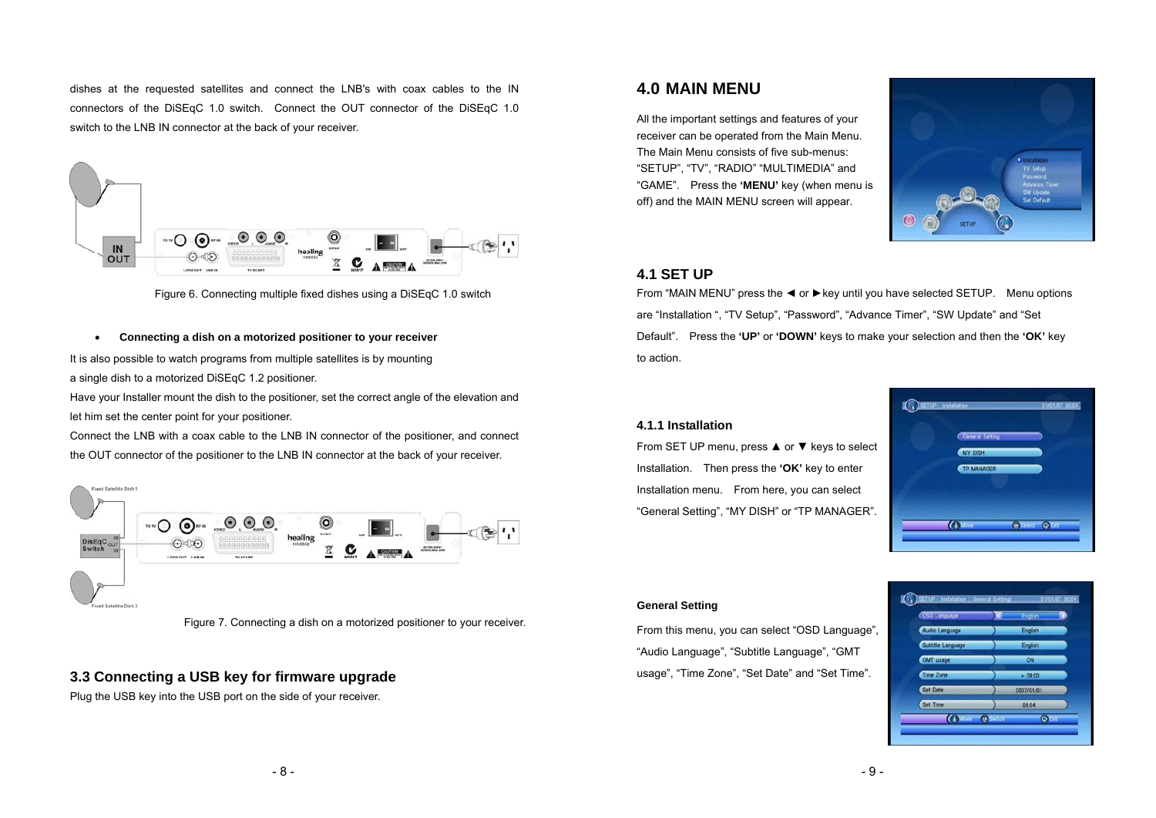dishes at the requested satellites and connect the LNB's with coax cables to the IN connectors of the DiSEqC 1.0 switch. Connect the OUT connector of the DiSEqC 1.0 switch to the LNB IN connector at the back of your receiver.



Figure 6. Connecting multiple fixed dishes using a DiSEqC 1.0 switch

#### •**Connecting a dish on a motorized positioner to your receiver**

It is also possible to watch programs from multiple satellites is by mounting a single dish to a motorized DiSEqC 1.2 positioner.

Have your Installer mount the dish to the positioner, set the correct angle of the elevation and let him set the center point for your positioner.

Connect the LNB with a coax cable to the LNB IN connector of the positioner, and connect the OUT connector of the positioner to the LNB IN connector at the back of your receiver.



Figure 7. Connecting a dish on a motorized positioner to your receiver.

#### **3.3 Connecting a USB key for firmware upgrade**

Plug the USB key into the USB port on the side of your receiver.

## **4.0 MAIN MENU**

All the important settings and features of your receiver can be operated from the Main Menu. The Main Menu consists of five sub-menus: "SETUP", "TV", "RADIO" "MULTIMEDIA" and "GAME". Press the **'MENU'** key (when menu is off) and the MAIN MENU screen will appear.



### **4.1 SET UP**

From "MAIN MENU" press the ◄ or ►key until you have selected SETUP. Menu options are "Installation ", "TV Setup", "Password", "Advance Timer", "SW Update" and "Set Default". Press the **'UP'** or **'DOWN'** keys to make your selection and then the **'OK'** key to action.

#### **4.1.1 Installation**

From SET UP menu, press ▲ or ▼ keys to select Installation. Then press the **'OK'** key to enter Installation menu. From here, you can select "General Setting", "MY DISH" or "TP MANAGER".



#### **General Setting**

From this menu, you can select "OSD Language", "Audio Language", "Subtitle Language", "GMT usage", "Time Zone", "Set Date" and "Set Time".

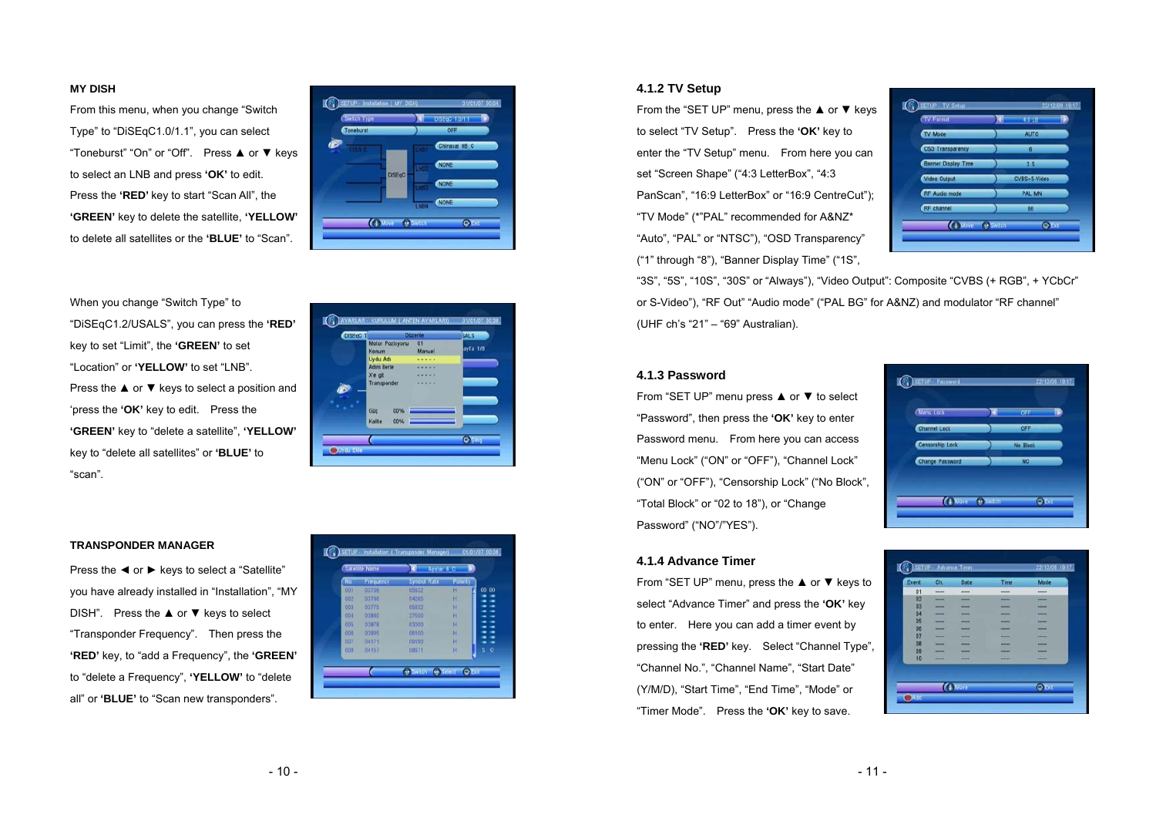#### **MY DISH**

From this menu, when you change "Switch Type" to "DiSEqC1.0/1.1", you can select "Toneburst" "On" or "Off". Press ▲ or ▼ keys to select an LNB and press **'OK'** to edit. Press the **'RED'** key to start "Scan All", the **'GREEN'** key to delete the satellite, **'YELLOW'** to delete all satellites or the **'BLUE'** to "Scan".



When you change "Switch Type" to "DiSEqC1.2/USALS", you can press the **'RED'** key to set "Limit", the **'GREEN'** to set "Location" or **'YELLOW'** to set "LNB". Press the ▲ or ▼ keys to select a position and 'press the **'OK'** key to edit. Press the **'GREEN'** key to "delete a satellite", **'YELLOW'** key to "delete all satellites" or **'BLUE'** to "scan".

| DISE <sub>qC</sub> |                          | <b>Düzenle</b> | <b>SALS</b>    |
|--------------------|--------------------------|----------------|----------------|
|                    | Motor Pozisyonu<br>Konum | 01<br>Manuel   | ayfa 1/8       |
|                    | <b>Uydu Adı</b>          |                |                |
|                    | <b>Adm lerle</b>         |                |                |
|                    | X'e git                  |                |                |
|                    | Transponder              |                |                |
|                    |                          |                |                |
|                    | 00%<br>Güç               |                |                |
|                    | Kalite<br>00%            |                |                |
|                    |                          |                | <b>C</b> CILIS |

#### **TRANSPONDER MANAGER**

Press the ◀ or ▶ keys to select a "Satellite" you have already installed in "Installation", "MY DISH". Press the ▲ or ▼ keys to select "Transponder Frequency". Then press the **'RED'** key, to "add a Frequency", the **'GREEN'** to "delete a Frequency", **'YELLOW'** to "delete all" or **'BLUE'** to "Scan new transponders".



#### **4.1.2 TV Setup**

From the "SET UP" menu, press the ▲ or ▼ keys to select "TV Setup". Press the **'OK'** key to enter the "TV Setup" menu. From here you can set "Screen Shape" ("4:3 LetterBox", "4:3 PanScan", "16:9 LetterBox" or "16:9 CentreCut"); "TV Mode" (\*"PAL" recommended for A&NZ\* "Auto", "PAL" or "NTSC"), "OSD Transparency" ("1" through "8"), "Banner Display Time" ("1S",



"3S", "5S", "10S", "30S" or "Always"), "Video Output": Composite "CVBS (+ RGB", + YCbCr" or S-Video"), "RF Out" "Audio mode" ("PAL BG" for A&NZ) and modulator "RF channel" (UHF ch's "21" – "69" Australian).

#### **4.1.3 Password**

From "SET UP" menu press ▲ or ▼ to select "Password", then press the **'OK'** key to enter Password menu. From here you can access "Menu Lock" ("ON" or "OFF"), "Channel Lock" ("ON" or "OFF"), "Censorship Lock" ("No Block", "Total Block" or "02 to 18"), or "Change Password" ("NO"/"YES").



#### **4.1.4 Advance Timer**

From "SET UP" menu, press the ▲ or ▼ keys to select "Advance Timer" and press the **'OK'** key to enter. Here you can add a timer event by pressing the **'RED'** key. Select "Channel Type", "Channel No.", "Channel Name", "Start Date" (Y/M/D), "Start Time", "End Time", "Mode" or "Timer Mode". Press the **'OK'** key to save.

# SETUP - Advance Ti **THEFT**  $(1)$  Move **OLI**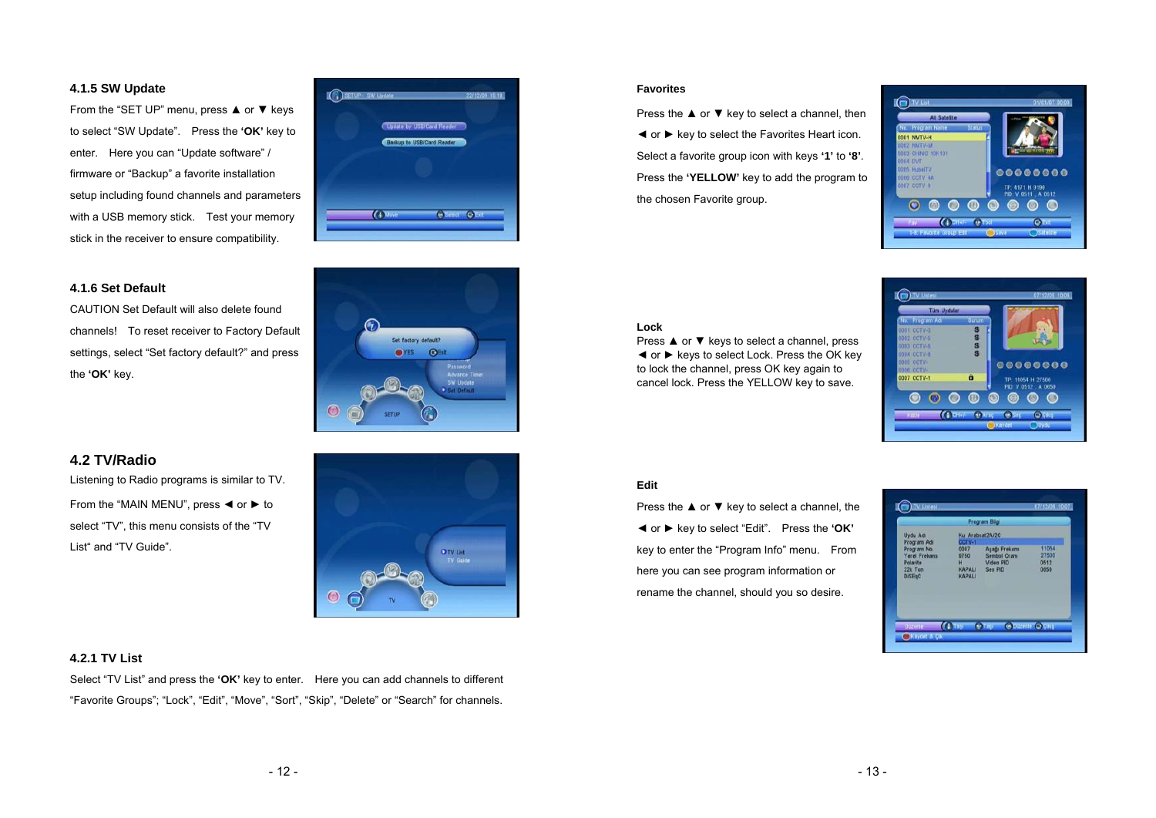#### **4.1.5 SW Update**

From the "SET UP" menu, press ▲ or ▼ keys to select "SW Update". Press the **'OK'** key to enter. Here you can "Update software" / firmware or "Backup" a favorite installation setup including found channels and parameters with a USB memory stick. Test your memory stick in the receiver to ensure compatibility.



Set factory default? OYES OF

O TV List

#### **4.1.6 Set Default**

CAUTION Set Default will also delete found channels! To reset receiver to Factory Default settings, select "Set factory default?" and press the **'OK'** key.

#### **Lock**

**Favorites**

the chosen Favorite group.

Press ▲ or ▼ keys to select a channel, press ◄ or ► keys to select Lock. Press the OK key to lock the channel, press OK key again to cancel lock. Press the YELLOW key to save.

Press the **▲** or ▼ key to select a channel, then ◄ or ► key to select the Favorites Heart icon. Select a favorite group icon with keys **'1'** to **'8'**. Press the **'YELLOW'** key to add the program to



 $\bigcirc$ 

 $\bullet$ 

00000000

TP: 4171 H 9190<br>PIO: V 0511 , A 0512

 $\circ\circ\circ$ 

**OVE** 

1001 NMTV-H 2 NMTV-M 03 CHINIC 10K101 TVO 300 05 HubelTV

108 CCTV 4A OT COTV 9

 $\odot$   $\odot$ 

 $\omega$ 

 $20000$ 

#### **Edit**

Press the ▲ or ▼ key to select a channel, the ◄ or ► key to select "Edit". Press the **'OK'** key to enter the "Program Info" menu. From here you can see program information or rename the channel, should you so desire.

|                                                                                            |                                                               | Program Bilgi                                         |                                |
|--------------------------------------------------------------------------------------------|---------------------------------------------------------------|-------------------------------------------------------|--------------------------------|
| <b>Uydu Adı</b>                                                                            | Ku Arabsat2A/20                                               |                                                       |                                |
| Program Adr<br>Program No.<br><b>Yerel Frekans</b><br>Polarite<br>22k Ton<br><b>DISEgC</b> | COTV-1<br>0007<br>9750<br>H<br><b>KAPALI</b><br><b>KAPALI</b> | Aşağı Frekans<br>Sembol Oranu<br>Video PID<br>Ses PID | 11054<br>27500<br>0512<br>0650 |
|                                                                                            |                                                               |                                                       |                                |

#### **4.2 TV/Radio**

Listening to Radio programs is similar to TV. From the "MAIN MENU", press  $\blacktriangleleft$  or  $\blacktriangleright$  to select "TV", this menu consists of the "TV List" and "TV Guide".

#### **4.2.1 TV List**

Select "TV List" and press the **'OK'** key to enter. Here you can add channels to different "Favorite Groups"; "Lock", "Edit", "Move", "Sort", "Skip", "Delete" or "Search" for channels.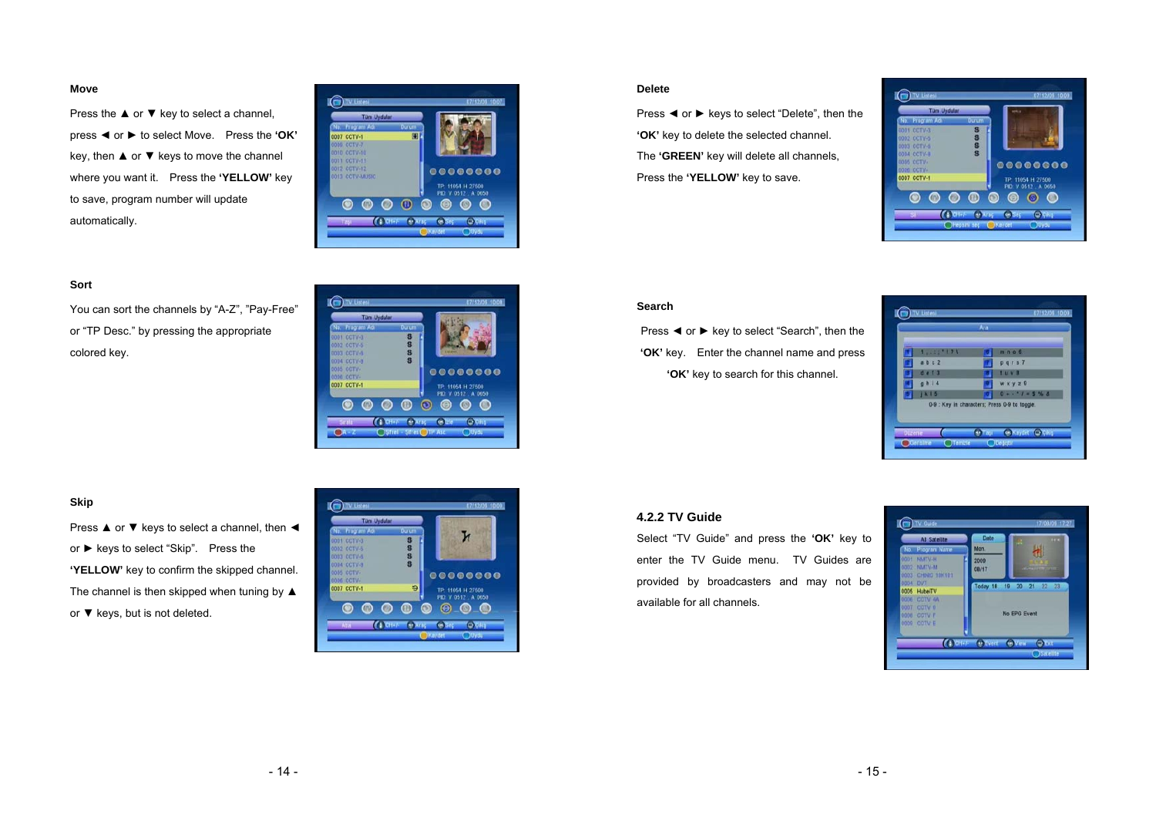#### **Move**

Press the ▲ or ▼ key to select a channel, press ◄ or ► to select Move. Press the **'OK'**  key, then  $\triangle$  or  $\blacktriangledown$  keys to move the channel where you want it. Press the **'YELLOW'** key to save, program number will update automatically.



#### **Sort**

You can sort the channels by "A-Z", "Pay-Free" or "TP Desc." by pressing the appropriate colored key.

|                                  |        |             | <b>Tüm Uydular</b> |        | <b>Pain</b><br>w    |
|----------------------------------|--------|-------------|--------------------|--------|---------------------|
| No.                              |        | Program Adi |                    | Durum  |                     |
| 0001 CCTV-3                      |        |             |                    | \$     |                     |
| 0002 CCTV-5                      |        |             |                    | \$     | 533444              |
| 0003 CCTV-6                      |        |             |                    | S<br>S |                     |
| 0004 CCTV-B<br><b>DODS CCTV.</b> |        |             |                    |        |                     |
| 0006 CCTV+                       |        |             |                    |        | 00000000            |
| 0007 CCTV-1                      |        |             |                    |        | TP: 11054 H 27500   |
|                                  |        |             |                    |        | PID: V 0512, A 0650 |
|                                  |        |             |                    |        | Θ<br>۸              |
|                                  |        |             |                    |        |                     |
|                                  | stella |             | de la              |        | <b>CONT</b><br>œ    |

#### **Skip**

Press ▲ or ▼ keys to select a channel, then ◀ or ► keys to select "Skip". Press the **'YELLOW'** key to confirm the skipped channel. The channel is then skipped when tuning by ▲ or ▼ keys, but is not deleted.



#### **Delete**

Press ◄ or ► keys to select "Delete", then the **'OK'** key to delete the selected channel. The **'GREEN'** key will delete all channels, Press the **'YELLOW'** key to save.



#### **Search**

Press ◄ or ► key to select "Search", then the **'OK'** key. Enter the channel name and press **'OK'** key to search for this channel.

|                                                                  | Ara |                  |
|------------------------------------------------------------------|-----|------------------|
| 1.111121                                                         |     | m.n.o.6          |
| a b c 2                                                          |     | pqrs7            |
| d e I 3                                                          |     | 1 U V            |
| 0 h 14                                                           |     | W X Y Z          |
| 1 <sub>k</sub> 1 <sub>5</sub>                                    |     | $0 + -1 = 5%$    |
| 0-9 : Key in characters; Press 0-9 to toggle.<br><b>Diztenle</b> |     | C Kaydet C Çıkış |

#### **4.2.2 TV Guide**

Select "TV Guide" and press the **'OK'** key to enter the TV Guide menu. TV Guides are provided by broadcasters and may not be available for all channels.

|             | <b>All Satellite</b> | Date       | 14.4<br>я.                 |
|-------------|----------------------|------------|----------------------------|
| No.         | Program Name         | <b>Mon</b> |                            |
| 0001        | <b>NMTV-H</b>        | 2009       |                            |
| 0002        | <b>NATV-M</b>        | 08/17      | <b>AND CALL FOR JUNIOR</b> |
| 0003        | CHNIC 10K101         |            |                            |
| 0004 DVT    |                      |            | Today 18 19 20 21 22<br>23 |
|             | 0005 HubeiTV         |            |                            |
| <b>DODE</b> | COTV 4A              |            |                            |
|             | 0007 CCTV 0          |            |                            |
| 0008        | <b>COTV F</b>        |            | No EPG Event               |
|             | 0009 COTV E          |            |                            |
|             |                      |            |                            |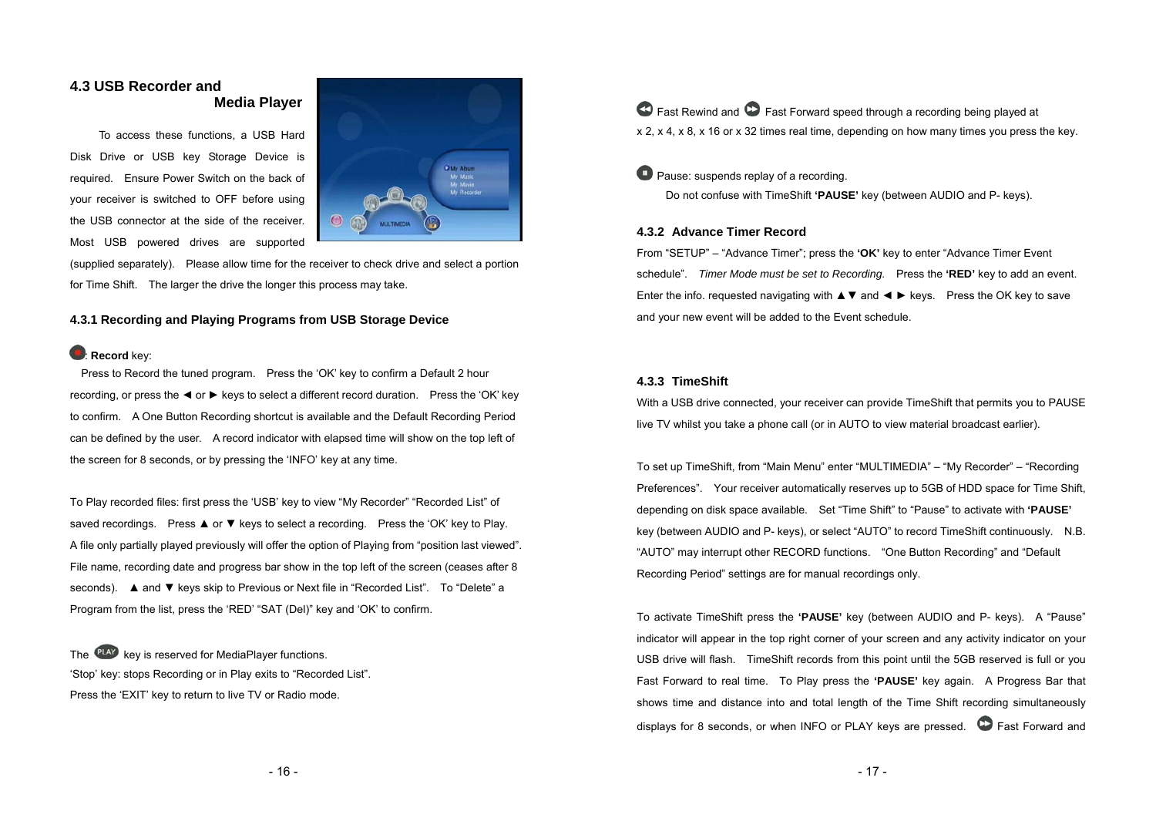## **4.3 USB Recorder and Media Player**

 To access these functions, a USB Hard Disk Drive or USB key Storage Device is required. Ensure Power Switch on the back of your receiver is switched to OFF before using the USB connector at the side of the receiver. Most USB powered drives are supported



(supplied separately). Please allow time for the receiver to check drive and select a portion for Time Shift. The larger the drive the longer this process may take.

#### **4.3.1 Recording and Playing Programs from USB Storage Device**

#### **Record** key:

 Press to Record the tuned program. Press the 'OK' key to confirm a Default 2 hour recording, or press the ◄ or ► keys to select a different record duration. Press the 'OK' key to confirm. A One Button Recording shortcut is available and the Default Recording Period can be defined by the user. A record indicator with elapsed time will show on the top left of the screen for 8 seconds, or by pressing the 'INFO' key at any time.

To Play recorded files: first press the 'USB' key to view "My Recorder" "Recorded List" of saved recordings. Press ▲ or ▼ keys to select a recording. Press the 'OK' key to Play. A file only partially played previously will offer the option of Playing from "position last viewed". File name, recording date and progress bar show in the top left of the screen (ceases after 8 seconds). A and **▼** keys skip to Previous or Next file in "Recorded List". To "Delete" a Program from the list, press the 'RED' "SAT (Del)" key and 'OK' to confirm.

The **PLAY** key is reserved for MediaPlayer functions. 'Stop' key: stops Recording or in Play exits to "Recorded List". Press the 'EXIT' key to return to live TV or Radio mode.

 Fast Rewind and Fast Forward speed through a recording being played at x 2, x 4, x 8, x 16 or x 32 times real time, depending on how many times you press the key.

## **Pause: suspends replay of a recording.**

Do not confuse with TimeShift **'PAUSE'** key (between AUDIO and P- keys).

#### **4.3.2 Advance Timer Record**

From "SETUP" – "Advance Timer"; press the **'OK'** key to enter "Advance Timer Event schedule". *Timer Mode must be set to Recording.* Press the **'RED'** key to add an event. Enter the info. requested navigating with ▲▼ and ◄ ► keys. Press the OK key to save and your new event will be added to the Event schedule.

#### **4.3.3 TimeShift**

With a USB drive connected, your receiver can provide TimeShift that permits you to PAUSE live TV whilst you take a phone call (or in AUTO to view material broadcast earlier).

To set up TimeShift, from "Main Menu" enter "MULTIMEDIA" – "My Recorder" – "Recording Preferences". Your receiver automatically reserves up to 5GB of HDD space for Time Shift, depending on disk space available. Set "Time Shift" to "Pause" to activate with **'PAUSE'** key (between AUDIO and P- keys), or select "AUTO" to record TimeShift continuously. N.B. "AUTO" may interrupt other RECORD functions. "One Button Recording" and "Default Recording Period" settings are for manual recordings only.

To activate TimeShift press the **'PAUSE'** key (between AUDIO and P- keys). A "Pause" indicator will appear in the top right corner of your screen and any activity indicator on your USB drive will flash. TimeShift records from this point until the 5GB reserved is full or you Fast Forward to real time. To Play press the **'PAUSE'** key again. A Progress Bar that shows time and distance into and total length of the Time Shift recording simultaneously displays for 8 seconds, or when INFO or PLAY keys are pressed.  $\bullet$  Fast Forward and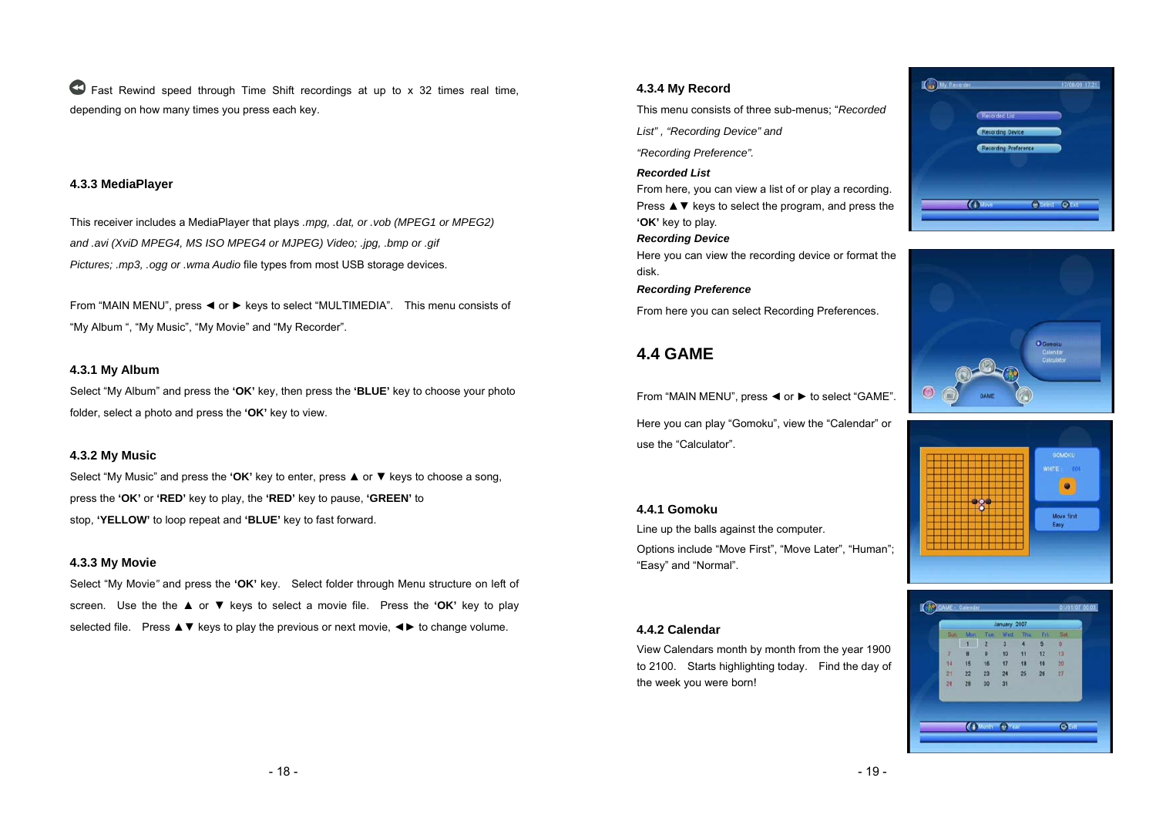Fast Rewind speed through Time Shift recordings at up to x 32 times real time, depending on how many times you press each key.

#### **4.3.3 MediaPlayer**

This receiver includes a MediaPlayer that plays *.mpg, .dat, or .vob (MPEG1 or MPEG2) and .avi (XviD MPEG4, MS ISO MPEG4 or MJPEG) Video; .jpg, .bmp or .gif Pictures; .mp3, .ogg or .wma Audio* file types from most USB storage devices.

From "MAIN MENU", press ◄ or ► keys to select "MULTIMEDIA". This menu consists of "My Album ", "My Music", "My Movie" and "My Recorder".

#### **4.3.1 My Album**

Select "My Album" and press the **'OK'** key, then press the **'BLUE'** key to choose your photo folder, select a photo and press the **'OK'** key to view.

#### **4.3.2 My Music**

Select "My Music" and press the **'OK'** key to enter, press ▲ or ▼ keys to choose a song, press the **'OK'** or **'RED'** key to play, the **'RED'** key to pause, **'GREEN'** to stop, **'YELLOW'** to loop repeat and **'BLUE'** key to fast forward.

#### **4.3.3 My Movie**

Select "My Movie*"* and press the **'OK'** key. Select folder through Menu structure on left of screen. Use the the **A** or ▼ keys to select a movie file. Press the 'OK' key to play selected file. Press  $\blacktriangle$  ▼ keys to play the previous or next movie,  $\blacktriangleleft\blacktriangleright$  to change volume.

#### **4.3.4 My Record**

This menu consists of three sub-menus; "*Recorded* 

*List" , "Recording Device" and* 

*"Recording Preference".* 

#### *Recorded List*

From here, you can view a list of or play a recording. Press ▲ ▼ keys to select the program, and press the **'OK'** key to play.

#### *Recording Device*

Here you can view the recording device or format the disk.

*Recording Preference* 

From here you can select Recording Preferences.

## **4.4 GAME**

From "MAIN MENU", press ◄ or ► to select "GAME". Here you can play "Gomoku", view the "Calendar" or use the "Calculator".

#### **4.4.1 Gomoku**

Line up the balls against the computer. Options include "Move First", "Move Later", "Human"; "Easy" and "Normal".

#### **4.4.2 Calendar**

View Calendars month by month from the year 1900 to 2100. Starts highlighting today. Find the day of the week you were born!







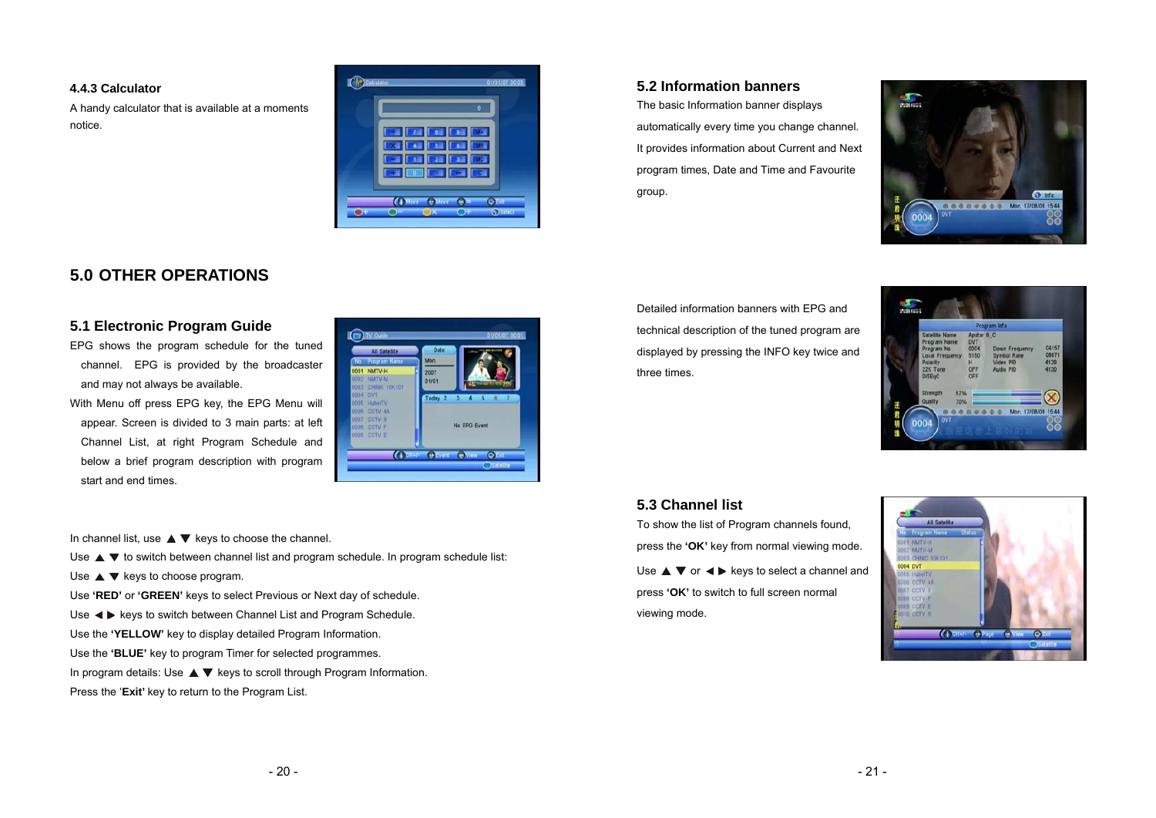#### **4.4.3 Calculator**

A handy calculator that is available at a moments notice.



## **5.0 OTHER OPERATIONS**

## **5.1 Electronic Program Guide**

- EPG shows the program schedule for the tuned channel. EPG is provided by the broadcaster and may not always be available.
- With Menu off press EPG key, the EPG Menu will appear. Screen is divided to 3 main parts: at left Channel List, at right Program Schedule and below a brief program description with program start and end times.



In channel list, use  $\blacktriangle \blacktriangledown$  keys to choose the channel.

Use  $\blacktriangle \blacktriangledown$  to switch between channel list and program schedule. In program schedule list:

Use  $\blacktriangle \blacktriangledown$  keys to choose program.

Use **'RED'** or **'GREEN'** keys to select Previous or Next day of schedule.

Use  $\blacktriangleleft$   $\blacktriangleright$  keys to switch between Channel List and Program Schedule.

Use the **'YELLOW'** key to display detailed Program Information.

Use the **'BLUE'** key to program Timer for selected programmes.

In program details: Use  $\blacktriangle \blacktriangledown$  keys to scroll through Program Information.

Press the '**Exit'** key to return to the Program List.

## **5.2 Information banners**

The basic Information banner displays automatically every time you change channel. It provides information about Current and Next program times, Date and Time and Favourite group.



Detailed information banners with EPG and technical description of the tuned program are displayed by pressing the INFO key twice and three times.

|                                                                                                                  |                                                                    | Program Info                                                          |                                |
|------------------------------------------------------------------------------------------------------------------|--------------------------------------------------------------------|-----------------------------------------------------------------------|--------------------------------|
| Satellite Name<br>Program Name<br>Program No.<br><b>Local Frequency</b><br>Polarity<br>22K Tone<br><b>DISEgC</b> | Apstar 6 C<br><b>DVT</b><br>0004<br>5150<br>H<br><b>OFF</b><br>OFF | <b>Down Frequency</b><br><b>Symbol Rate</b><br>Video PID<br>Audio PID | 04157<br>08671<br>4129<br>4130 |
| Strength<br>57%<br>Quality<br>70%                                                                                |                                                                    |                                                                       |                                |

## **5.3 Channel list**

To show the list of Program channels found, press the **'OK'** key from normal viewing mode. Use  $\blacktriangle \blacktriangledown$  or  $\blacktriangle \blacktriangleright$  keys to select a channel and press **'OK'** to switch to full screen normal viewing mode.

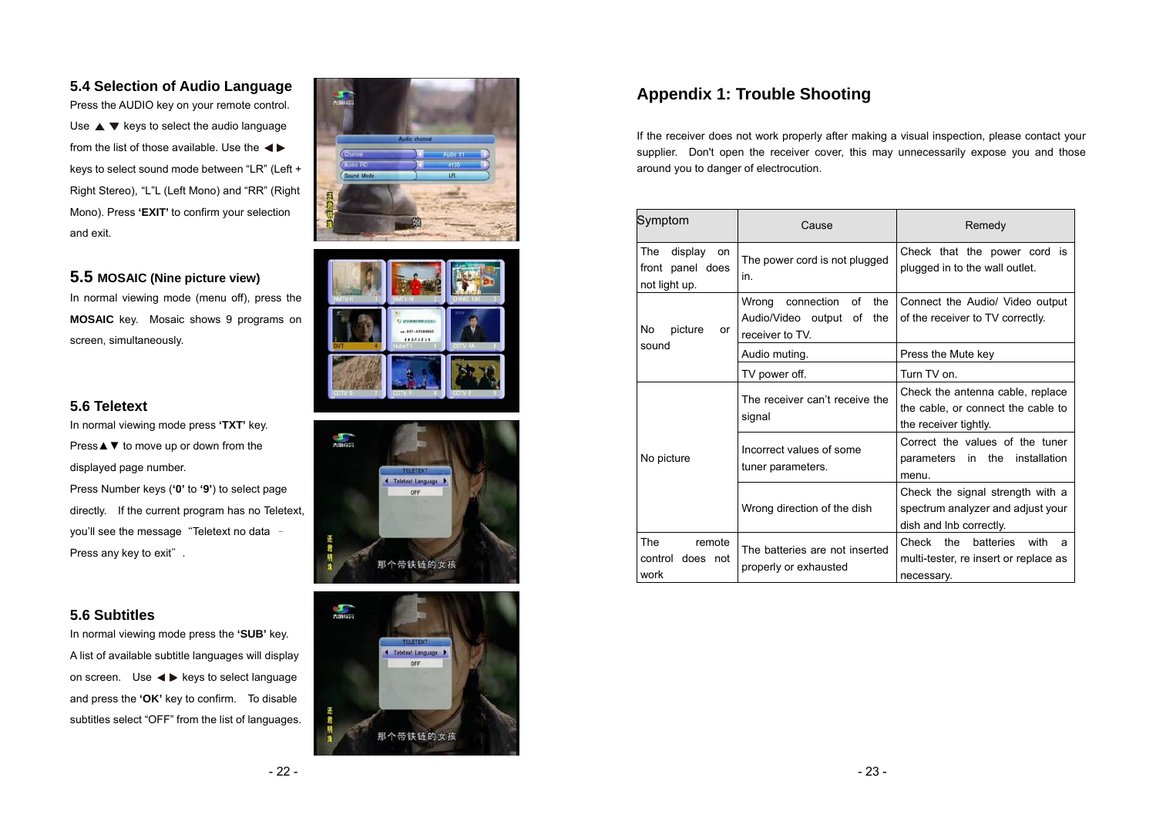## **5.4 Selection of Audio Language**

Press the AUDIO key on your remote control. Use  $\blacktriangle \blacktriangledown$  keys to select the audio language from the list of those available. Use the keys to select sound mode between "LR" (Left + Right Stereo), "L"L (Left Mono) and "RR" (Right Mono). Press **'EXIT'** to confirm your selection and exit.

## **5.5 MOSAIC (Nine picture view)**

In normal viewing mode (menu off), press the **MOSAIC** key. Mosaic shows 9 programs on screen, simultaneously.

## **5.6 Teletext**

In normal viewing mode press **'TXT'** key. Press **A** ▼ to move up or down from the displayed page number.

Press Number keys (**'0'** to **'9'**) to select page directly. If the current program has no Teletext, you'll see the message "Teletext no data -Press any key to exit".

## **5.6 Subtitles**

In normal viewing mode press the **'SUB'** key. A list of available subtitle languages will display on screen. Use  $\blacktriangleleft \blacktriangleright$  keys to select language and press the **'OK'** key to confirm. To disable subtitles select "OFF" from the list of languages.









## **Appendix 1: Trouble Shooting**

If the receiver does not work properly after making a visual inspection, please contact your supplier. Don't open the receiver cover, this may unnecessarily expose you and those around you to danger of electrocution.

| Symptom                                                   | Cause                                                                                  | Remedy                                                                                               |  |
|-----------------------------------------------------------|----------------------------------------------------------------------------------------|------------------------------------------------------------------------------------------------------|--|
| The<br>display<br>on<br>front panel does<br>not light up. | The power cord is not plugged<br>in.                                                   | Check that the power cord is<br>plugged in to the wall outlet.                                       |  |
| No<br>picture<br>or                                       | the<br>Wrong<br>connection<br>οf<br>Audio/Video output<br>the<br>οf<br>receiver to TV. | Connect the Audio/ Video output<br>of the receiver to TV correctly.                                  |  |
| sound                                                     | Audio muting.                                                                          | Press the Mute key                                                                                   |  |
|                                                           | TV power off.                                                                          | Turn TV on.                                                                                          |  |
|                                                           | The receiver can't receive the<br>signal                                               | Check the antenna cable, replace<br>the cable, or connect the cable to<br>the receiver tightly.      |  |
| No picture                                                | Incorrect values of some<br>tuner parameters.                                          | Correct the values of the tuner<br>parameters in the<br>installation<br>menu.                        |  |
|                                                           | Wrong direction of the dish                                                            | Check the signal strength with a<br>spectrum analyzer and adjust your<br>dish and Inb correctly.     |  |
| <b>The</b><br>remote<br>control<br>does not<br>work       | The batteries are not inserted<br>properly or exhausted                                | Check<br>the<br><b>batteries</b><br>with<br>a<br>multi-tester, re insert or replace as<br>necessary. |  |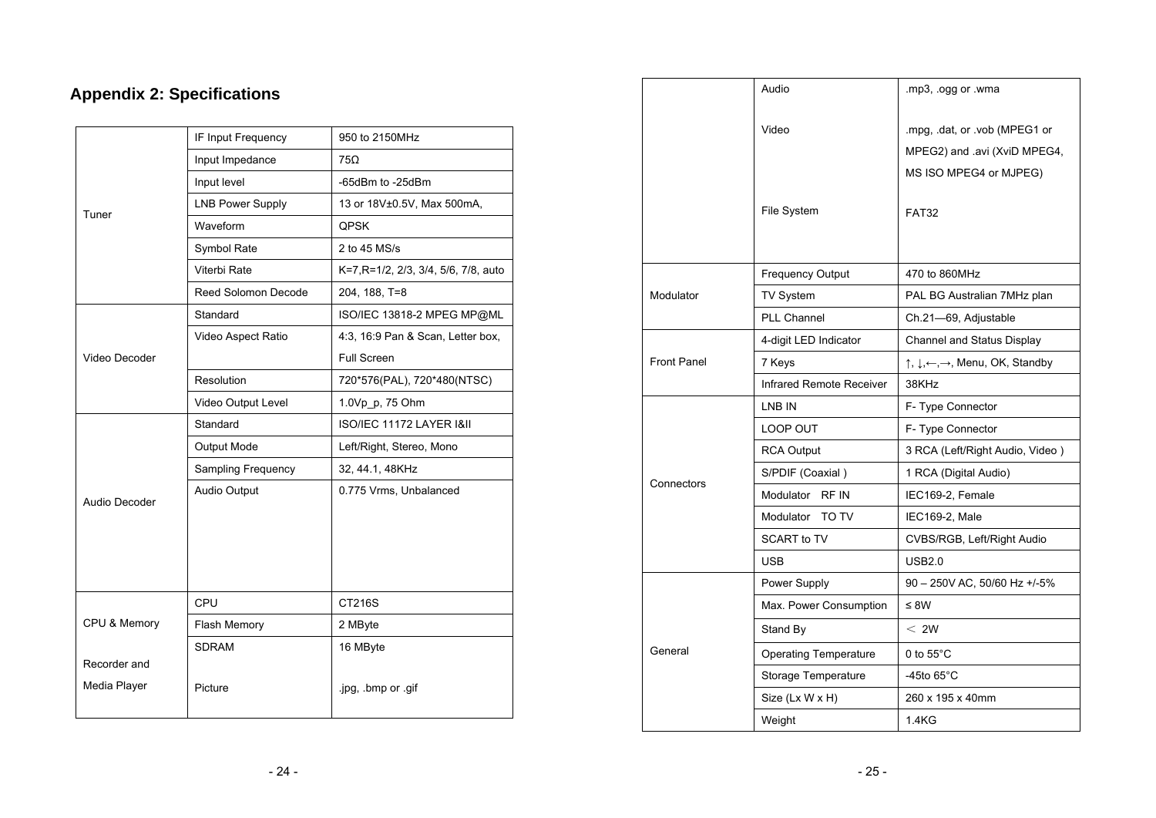# **Appendix 2: Specifications**

|               | IF Input Frequency      | 950 to 2150MHz                       |  |
|---------------|-------------------------|--------------------------------------|--|
|               | Input Impedance         | 75Ω                                  |  |
|               | Input level             | -65dBm to -25dBm                     |  |
| Tuner         | <b>LNB Power Supply</b> | 13 or 18V±0.5V, Max 500mA,           |  |
|               | Waveform                | QPSK                                 |  |
|               | Symbol Rate             | 2 to 45 MS/s                         |  |
|               | Viterbi Rate            | K=7, R=1/2, 2/3, 3/4, 5/6, 7/8, auto |  |
|               | Reed Solomon Decode     | 204, 188, T=8                        |  |
|               | Standard                | ISO/IEC 13818-2 MPEG MP@ML           |  |
|               | Video Aspect Ratio      | 4:3, 16:9 Pan & Scan, Letter box,    |  |
| Video Decoder |                         | <b>Full Screen</b>                   |  |
|               | Resolution              | 720*576(PAL), 720*480(NTSC)          |  |
|               | Video Output Level      | 1.0Vp p, 75 Ohm                      |  |
|               | Standard                | ISO/IEC 11172 LAYER I&II             |  |
|               | Output Mode             | Left/Right, Stereo, Mono             |  |
|               | Sampling Frequency      | 32, 44.1, 48KHz                      |  |
|               | <b>Audio Output</b>     | 0.775 Vrms, Unbalanced               |  |
| Audio Decoder |                         |                                      |  |
|               |                         |                                      |  |
|               |                         |                                      |  |
|               |                         |                                      |  |
|               | CPU                     | CT216S                               |  |
| CPU & Memory  | Flash Memory            | 2 MByte                              |  |
|               | <b>SDRAM</b>            | 16 MByte                             |  |
| Recorder and  |                         |                                      |  |
| Media Player  | Picture                 | .jpg, .bmp or .gif                   |  |
|               |                         |                                      |  |

|                    | Audio                        | .mp3, .ogg or .wma                                                  |
|--------------------|------------------------------|---------------------------------------------------------------------|
|                    |                              |                                                                     |
|                    | Video                        | mpg, dat, or vob (MPEG1 or                                          |
|                    |                              | MPEG2) and .avi (XviD MPEG4,                                        |
|                    |                              | MS ISO MPEG4 or MJPEG)                                              |
|                    | <b>File System</b>           | <b>FAT32</b>                                                        |
|                    | <b>Frequency Output</b>      | 470 to 860MHz                                                       |
| Modulator          | TV System                    | PAL BG Australian 7MHz plan                                         |
|                    | <b>PLL Channel</b>           | Ch.21-69, Adjustable                                                |
|                    | 4-digit LED Indicator        | Channel and Status Display                                          |
| <b>Front Panel</b> | 7 Keys                       | $\uparrow, \downarrow, \leftarrow, \rightarrow$ , Menu, OK, Standby |
|                    | Infrared Remote Receiver     | 38KHz                                                               |
| Connectors         | LNB IN                       | F- Type Connector                                                   |
|                    | LOOP OUT                     | F- Type Connector                                                   |
|                    | <b>RCA Output</b>            | 3 RCA (Left/Right Audio, Video)                                     |
|                    | S/PDIF (Coaxial)             | 1 RCA (Digital Audio)                                               |
|                    | Modulator RF IN              |                                                                     |
|                    |                              | IEC169-2, Female                                                    |
|                    | Modulator<br>TO TV           | IEC169-2, Male                                                      |
|                    | <b>SCART to TV</b>           | CVBS/RGB, Left/Right Audio                                          |
|                    | <b>USB</b>                   | USB2.0                                                              |
| General            | Power Supply                 | 90 - 250V AC, 50/60 Hz +/-5%                                        |
|                    | Max. Power Consumption       | ≤ 8W                                                                |
|                    | Stand By                     | < 2W                                                                |
|                    | <b>Operating Temperature</b> | 0 to $55^{\circ}$ C                                                 |
|                    | Storage Temperature          | -45to 65 $^{\circ}$ C                                               |
|                    | Size (Lx W x H)              | 260 x 195 x 40mm                                                    |
|                    | Weight                       | 1.4KG                                                               |